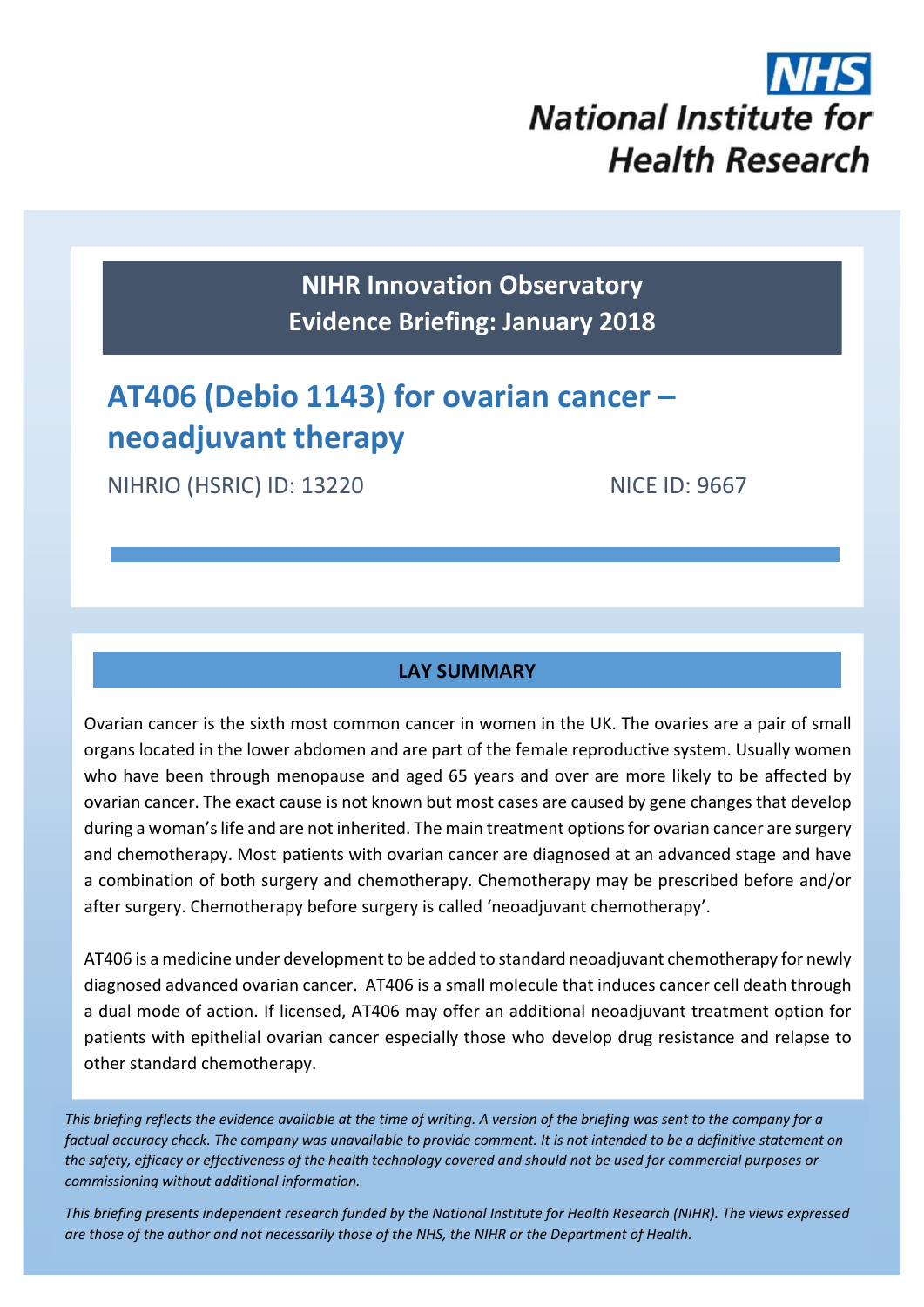

**NIHR Innovation Observatory Evidence Briefing: January 2018**

# **AT406 (Debio 1143) for ovarian cancer – neoadjuvant therapy**

NIHRIO (HSRIC) ID: 13220 NICE ID: 9667

# **LAY SUMMARY**

Ovarian cancer is the sixth most common cancer in women in the UK. The ovaries are a pair of small organs located in the lower abdomen and are part of the female reproductive system. Usually women who have been through menopause and aged 65 years and over are more likely to be affected by ovarian cancer. The exact cause is not known but most cases are caused by gene changes that develop during a woman's life and are not inherited. The main treatment options for ovarian cancer are surgery and chemotherapy. Most patients with ovarian cancer are diagnosed at an advanced stage and have a combination of both surgery and chemotherapy. Chemotherapy may be prescribed before and/or after surgery. Chemotherapy before surgery is called 'neoadjuvant chemotherapy'.

AT406 is a medicine under development to be added to standard neoadjuvant chemotherapy for newly diagnosed advanced ovarian cancer. AT406 is a small molecule that induces cancer cell death through a dual mode of action. If licensed, AT406 may offer an additional neoadjuvant treatment option for patients with epithelial ovarian cancer especially those who develop drug resistance and relapse to other standard chemotherapy.

This briefing reflects the evidence available at the time of writing. A version of the briefing was sent to the company for a factual accuracy check. The company was unavailable to provide comment. It is not intended to be a definitive statement on the safety, efficacy or effectiveness of the health technology covered and should not be used for commercial purposes or *commissioning without additional information.*

This briefing presents independent research funded by the National Institute for Health Research (NIHR). The views expressea are those of the author and not necessarily those of the NHS, the NIHR or the Department of Health.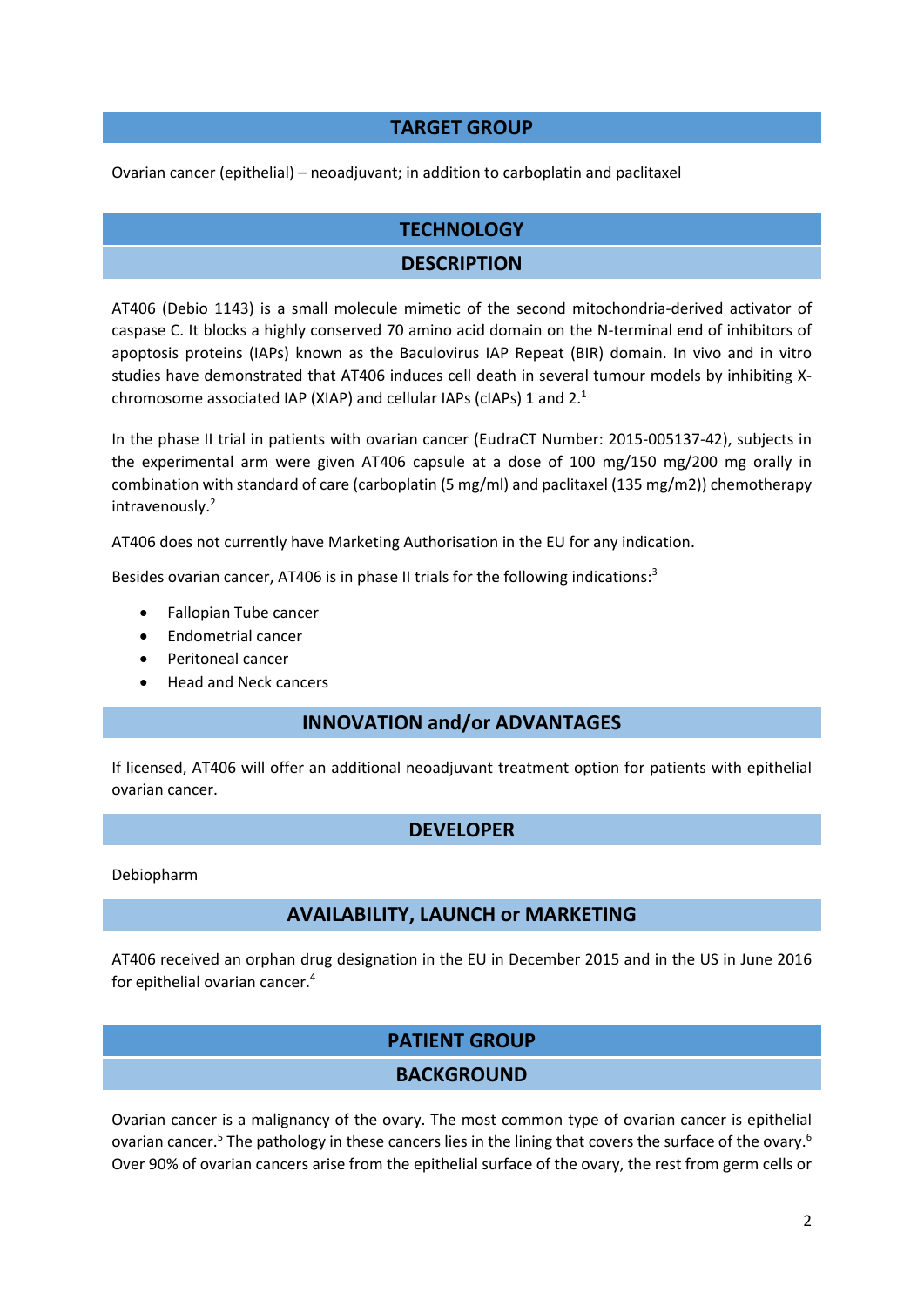## **TARGET GROUP**

Ovarian cancer (epithelial) – neoadjuvant; in addition to carboplatin and paclitaxel

# **TECHNOLOGY**

# **DESCRIPTION**

AT406 (Debio 1143) is a small molecule mimetic of the second mitochondria‐derived activator of caspase C. It blocks a highly conserved 70 amino acid domain on the N-terminal end of inhibitors of apoptosis proteins (IAPs) known as the Baculovirus IAP Repeat (BIR) domain. In vivo and in vitro studies have demonstrated that AT406 induces cell death in several tumour models by inhibiting X‐ chromosome associated IAP (XIAP) and cellular IAPs (cIAPs) 1 and 2.1

In the phase II trial in patients with ovarian cancer (EudraCT Number: 2015‐005137‐42), subjects in the experimental arm were given AT406 capsule at a dose of 100 mg/150 mg/200 mg orally in combination with standard of care (carboplatin (5 mg/ml) and paclitaxel (135 mg/m2)) chemotherapy intravenously.2

AT406 does not currently have Marketing Authorisation in the EU for any indication.

Besides ovarian cancer, AT406 is in phase II trials for the following indications:<sup>3</sup>

- Fallopian Tube cancer
- Endometrial cancer
- Peritoneal cancer
- Head and Neck cancers

### **INNOVATION and/or ADVANTAGES**

If licensed, AT406 will offer an additional neoadjuvant treatment option for patients with epithelial ovarian cancer.

### **DEVELOPER**

Debiopharm

### **AVAILABILITY, LAUNCH or MARKETING**

AT406 received an orphan drug designation in the EU in December 2015 and in the US in June 2016 for epithelial ovarian cancer.4

# **PATIENT GROUP**

### **BACKGROUND**

Ovarian cancer is a malignancy of the ovary. The most common type of ovarian cancer is epithelial ovarian cancer.<sup>5</sup> The pathology in these cancers lies in the lining that covers the surface of the ovary.<sup>6</sup> Over 90% of ovarian cancers arise from the epithelial surface of the ovary, the rest from germ cells or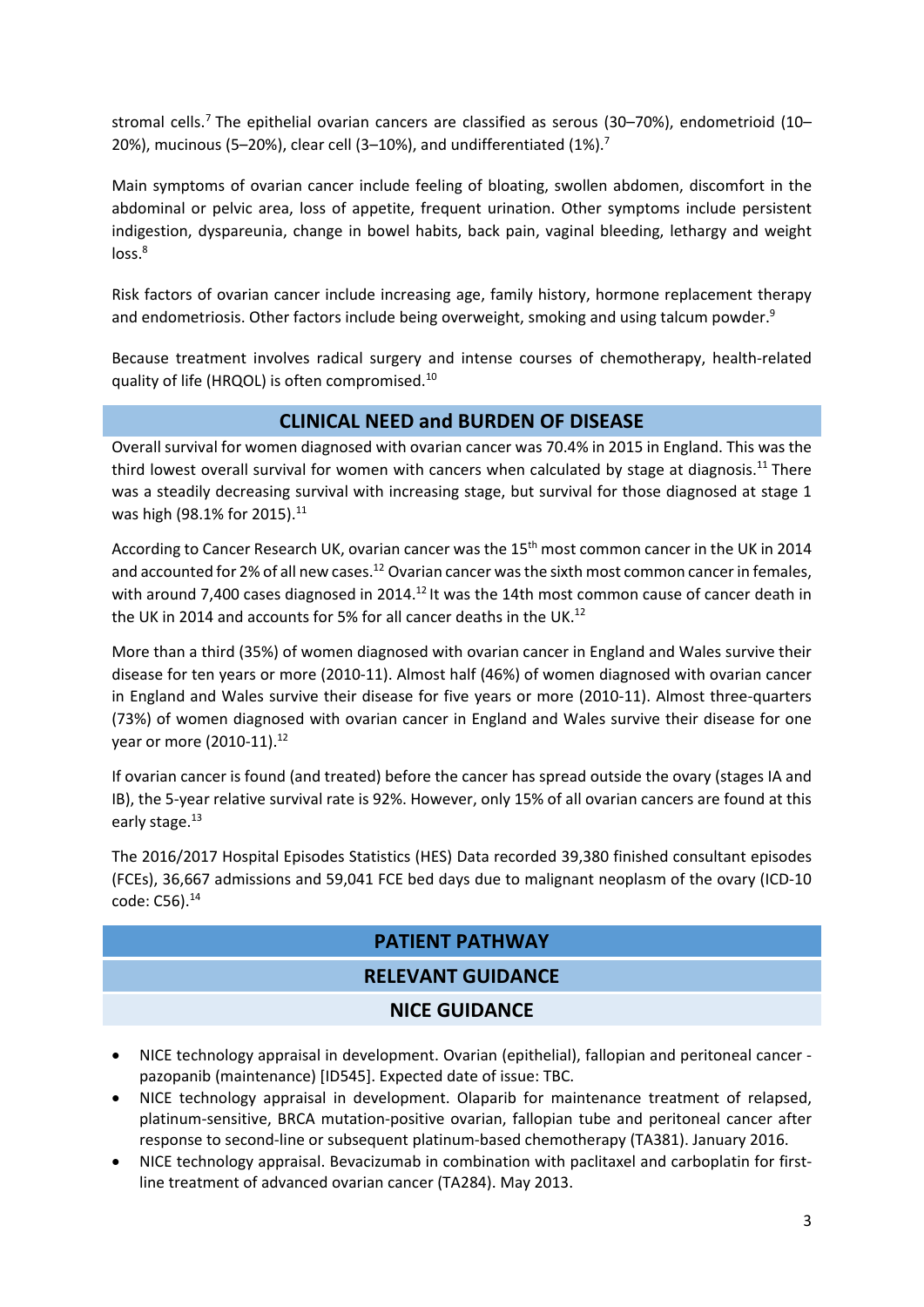stromal cells.<sup>7</sup> The epithelial ovarian cancers are classified as serous (30–70%), endometrioid (10– 20%), mucinous (5–20%), clear cell (3–10%), and undifferentiated (1%).<sup>7</sup>

Main symptoms of ovarian cancer include feeling of bloating, swollen abdomen, discomfort in the abdominal or pelvic area, loss of appetite, frequent urination. Other symptoms include persistent indigestion, dyspareunia, change in bowel habits, back pain, vaginal bleeding, lethargy and weight loss.<sup>8</sup>

Risk factors of ovarian cancer include increasing age, family history, hormone replacement therapy and endometriosis. Other factors include being overweight, smoking and using talcum powder.<sup>9</sup>

Because treatment involves radical surgery and intense courses of chemotherapy, health‐related quality of life (HRQOL) is often compromised.10

## **CLINICAL NEED and BURDEN OF DISEASE**

Overall survival for women diagnosed with ovarian cancer was 70.4% in 2015 in England. This was the third lowest overall survival for women with cancers when calculated by stage at diagnosis.<sup>11</sup> There was a steadily decreasing survival with increasing stage, but survival for those diagnosed at stage 1 was high (98.1% for 2015).<sup>11</sup>

According to Cancer Research UK, ovarian cancer was the 15<sup>th</sup> most common cancer in the UK in 2014 and accounted for 2% of all new cases.<sup>12</sup> Ovarian cancer was the sixth most common cancer in females, with around 7,400 cases diagnosed in 2014.<sup>12</sup> It was the 14th most common cause of cancer death in the UK in 2014 and accounts for 5% for all cancer deaths in the UK.<sup>12</sup>

More than a third (35%) of women diagnosed with ovarian cancer in England and Wales survive their disease for ten years or more (2010‐11). Almost half (46%) of women diagnosed with ovarian cancer in England and Wales survive their disease for five years or more (2010‐11). Almost three‐quarters (73%) of women diagnosed with ovarian cancer in England and Wales survive their disease for one year or more (2010-11).<sup>12</sup>

If ovarian cancer is found (and treated) before the cancer has spread outside the ovary (stages IA and IB), the 5-year relative survival rate is 92%. However, only 15% of all ovarian cancers are found at this early stage.<sup>13</sup>

The 2016/2017 Hospital Episodes Statistics (HES) Data recorded 39,380 finished consultant episodes (FCEs), 36,667 admissions and 59,041 FCE bed days due to malignant neoplasm of the ovary (ICD‐10 code: C56).14

### **PATIENT PATHWAY**

# **RELEVANT GUIDANCE**

# **NICE GUIDANCE**

- NICE technology appraisal in development. Ovarian (epithelial), fallopian and peritoneal cancer ‐ pazopanib (maintenance) [ID545]. Expected date of issue: TBC.
- NICE technology appraisal in development. Olaparib for maintenance treatment of relapsed, platinum‐sensitive, BRCA mutation‐positive ovarian, fallopian tube and peritoneal cancer after response to second‐line or subsequent platinum‐based chemotherapy (TA381). January 2016.
- NICE technology appraisal. Bevacizumab in combination with paclitaxel and carboplatin for first‐ line treatment of advanced ovarian cancer (TA284). May 2013.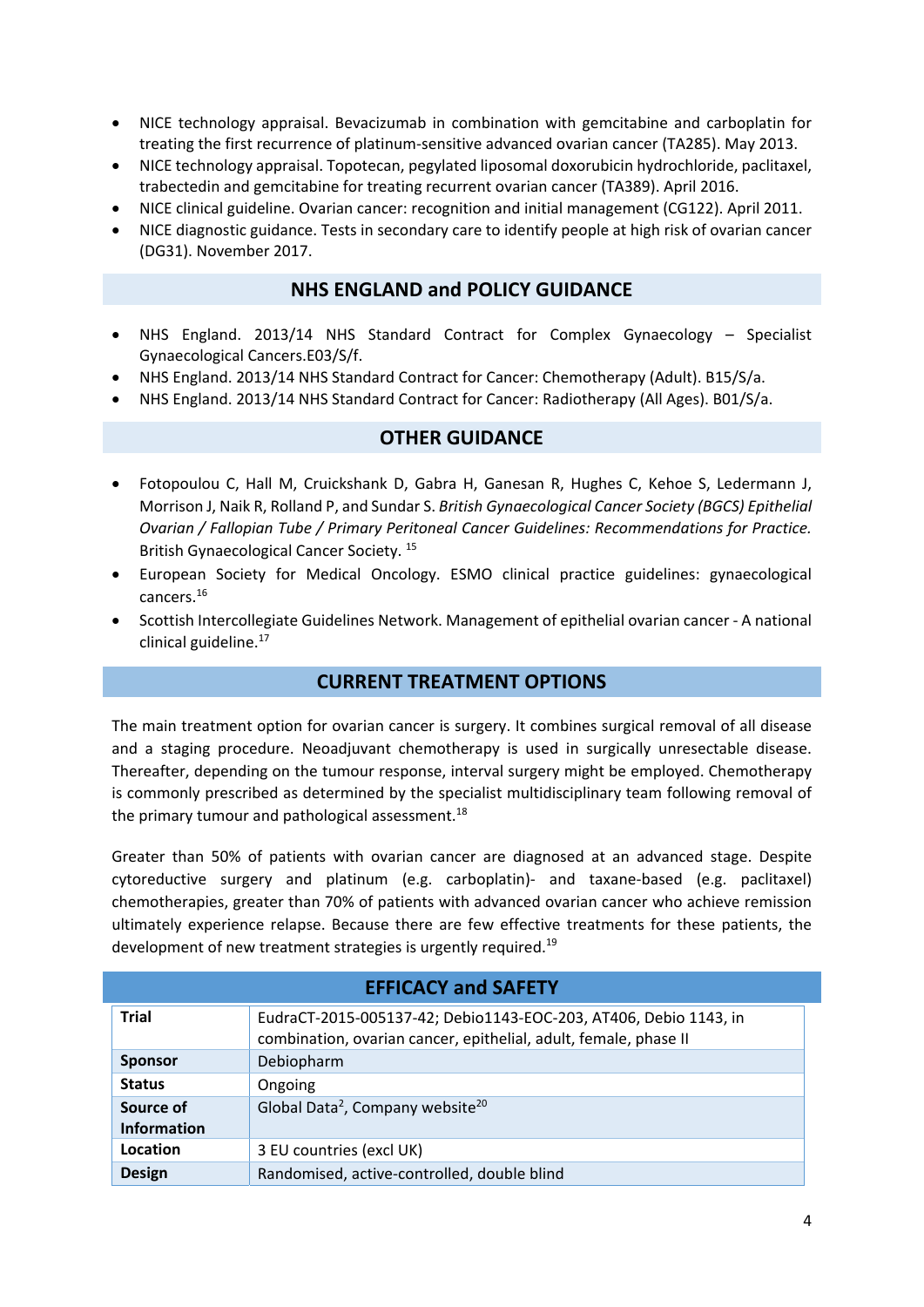- NICE technology appraisal. Bevacizumab in combination with gemcitabine and carboplatin for treating the first recurrence of platinum‐sensitive advanced ovarian cancer (TA285). May 2013.
- NICE technology appraisal. Topotecan, pegylated liposomal doxorubicin hydrochloride, paclitaxel, trabectedin and gemcitabine for treating recurrent ovarian cancer (TA389). April 2016.
- NICE clinical guideline. Ovarian cancer: recognition and initial management (CG122). April 2011.
- NICE diagnostic guidance. Tests in secondary care to identify people at high risk of ovarian cancer (DG31). November 2017.

#### **NHS ENGLAND and POLICY GUIDANCE**

- NHS England. 2013/14 NHS Standard Contract for Complex Gynaecology Specialist Gynaecological Cancers.E03/S/f.
- NHS England. 2013/14 NHS Standard Contract for Cancer: Chemotherapy (Adult). B15/S/a.
- NHS England. 2013/14 NHS Standard Contract for Cancer: Radiotherapy (All Ages). B01/S/a.

### **OTHER GUIDANCE**

- Fotopoulou C, Hall M, Cruickshank D, Gabra H, Ganesan R, Hughes C, Kehoe S, Ledermann J, Morrison J, Naik R, Rolland P, and Sundar S. *British Gynaecological Cancer Society (BGCS) Epithelial Ovarian / Fallopian Tube / Primary Peritoneal Cancer Guidelines: Recommendations for Practice.* British Gynaecological Cancer Society. <sup>15</sup>
- European Society for Medical Oncology. ESMO clinical practice guidelines: gynaecological cancers.16
- Scottish Intercollegiate Guidelines Network. Management of epithelial ovarian cancer ‐ A national clinical guideline.<sup>17</sup>

### **CURRENT TREATMENT OPTIONS**

The main treatment option for ovarian cancer is surgery. It combines surgical removal of all disease and a staging procedure. Neoadjuvant chemotherapy is used in surgically unresectable disease. Thereafter, depending on the tumour response, interval surgery might be employed. Chemotherapy is commonly prescribed as determined by the specialist multidisciplinary team following removal of the primary tumour and pathological assessment.<sup>18</sup>

Greater than 50% of patients with ovarian cancer are diagnosed at an advanced stage. Despite cytoreductive surgery and platinum (e.g. carboplatin)‐ and taxane‐based (e.g. paclitaxel) chemotherapies, greater than 70% of patients with advanced ovarian cancer who achieve remission ultimately experience relapse. Because there are few effective treatments for these patients, the development of new treatment strategies is urgently required.<sup>19</sup>

| <b>EFFICACY and SAFETY</b>      |                                                                                                                                      |  |
|---------------------------------|--------------------------------------------------------------------------------------------------------------------------------------|--|
| <b>Trial</b>                    | EudraCT-2015-005137-42; Debio1143-EOC-203, AT406, Debio 1143, in<br>combination, ovarian cancer, epithelial, adult, female, phase II |  |
| <b>Sponsor</b>                  | Debiopharm                                                                                                                           |  |
| <b>Status</b>                   | Ongoing                                                                                                                              |  |
| Source of<br><b>Information</b> | Global Data <sup>2</sup> , Company website <sup>20</sup>                                                                             |  |
| Location                        | 3 EU countries (excl UK)                                                                                                             |  |
| <b>Design</b>                   | Randomised, active-controlled, double blind                                                                                          |  |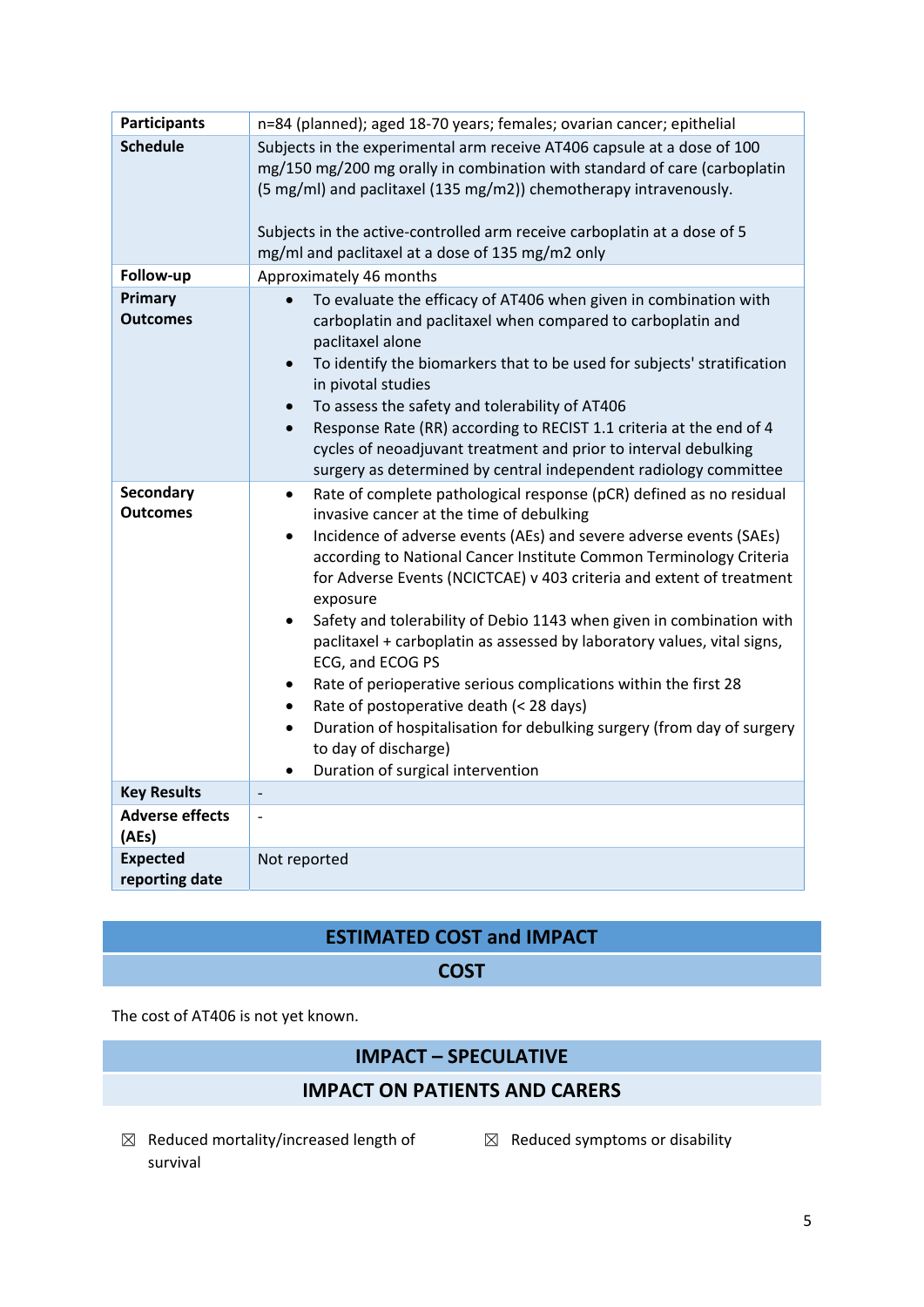| <b>Participants</b>                 | n=84 (planned); aged 18-70 years; females; ovarian cancer; epithelial                                                                                                                                                                                                                                                                                                                                                                                                                                                                                                                                                                                                                                                                                                                                                                             |  |
|-------------------------------------|---------------------------------------------------------------------------------------------------------------------------------------------------------------------------------------------------------------------------------------------------------------------------------------------------------------------------------------------------------------------------------------------------------------------------------------------------------------------------------------------------------------------------------------------------------------------------------------------------------------------------------------------------------------------------------------------------------------------------------------------------------------------------------------------------------------------------------------------------|--|
| <b>Schedule</b>                     | Subjects in the experimental arm receive AT406 capsule at a dose of 100<br>mg/150 mg/200 mg orally in combination with standard of care (carboplatin<br>(5 mg/ml) and paclitaxel (135 mg/m2)) chemotherapy intravenously.<br>Subjects in the active-controlled arm receive carboplatin at a dose of 5<br>mg/ml and paclitaxel at a dose of 135 mg/m2 only                                                                                                                                                                                                                                                                                                                                                                                                                                                                                         |  |
| Follow-up                           | Approximately 46 months                                                                                                                                                                                                                                                                                                                                                                                                                                                                                                                                                                                                                                                                                                                                                                                                                           |  |
| Primary<br><b>Outcomes</b>          | To evaluate the efficacy of AT406 when given in combination with<br>carboplatin and paclitaxel when compared to carboplatin and<br>paclitaxel alone<br>To identify the biomarkers that to be used for subjects' stratification<br>$\bullet$<br>in pivotal studies<br>To assess the safety and tolerability of AT406<br>$\bullet$<br>Response Rate (RR) according to RECIST 1.1 criteria at the end of 4<br>$\bullet$<br>cycles of neoadjuvant treatment and prior to interval debulking<br>surgery as determined by central independent radiology committee                                                                                                                                                                                                                                                                                       |  |
| <b>Secondary</b><br><b>Outcomes</b> | Rate of complete pathological response (pCR) defined as no residual<br>$\bullet$<br>invasive cancer at the time of debulking<br>Incidence of adverse events (AEs) and severe adverse events (SAEs)<br>$\bullet$<br>according to National Cancer Institute Common Terminology Criteria<br>for Adverse Events (NCICTCAE) v 403 criteria and extent of treatment<br>exposure<br>Safety and tolerability of Debio 1143 when given in combination with<br>$\bullet$<br>paclitaxel + carboplatin as assessed by laboratory values, vital signs,<br>ECG, and ECOG PS<br>Rate of perioperative serious complications within the first 28<br>٠<br>Rate of postoperative death (< 28 days)<br>$\bullet$<br>Duration of hospitalisation for debulking surgery (from day of surgery<br>$\bullet$<br>to day of discharge)<br>Duration of surgical intervention |  |
| <b>Key Results</b>                  | $\overline{\phantom{a}}$                                                                                                                                                                                                                                                                                                                                                                                                                                                                                                                                                                                                                                                                                                                                                                                                                          |  |
| <b>Adverse effects</b><br>(AEs)     | $\overline{a}$                                                                                                                                                                                                                                                                                                                                                                                                                                                                                                                                                                                                                                                                                                                                                                                                                                    |  |
| <b>Expected</b><br>reporting date   | Not reported                                                                                                                                                                                                                                                                                                                                                                                                                                                                                                                                                                                                                                                                                                                                                                                                                                      |  |

# **ESTIMATED COST and IMPACT**

**COST**

The cost of AT406 is not yet known.

# **IMPACT – SPECULATIVE**

- **IMPACT ON PATIENTS AND CARERS**
- $\boxtimes$  Reduced mortality/increased length of  $\boxtimes$  Reduced symptoms or disability survival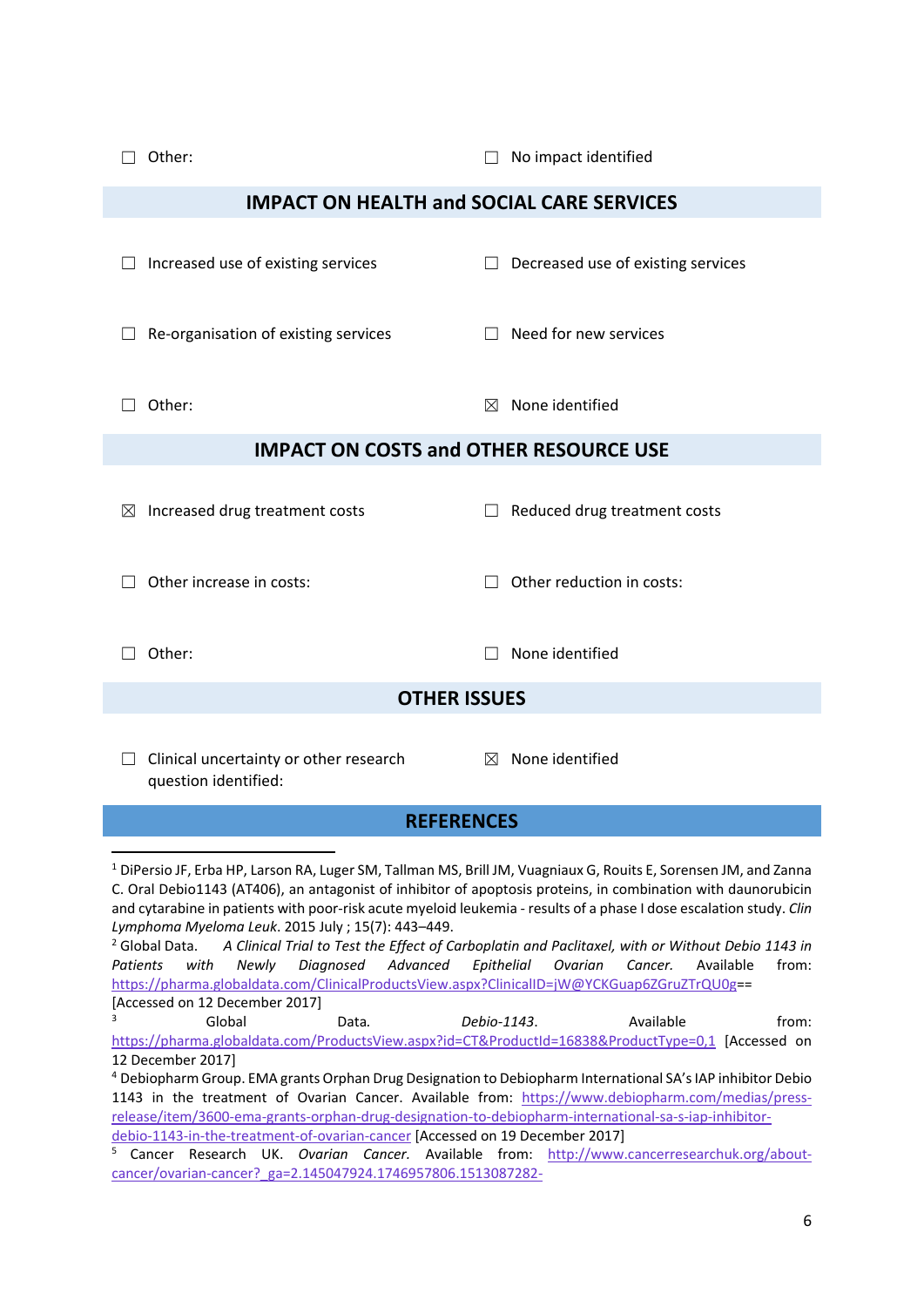| Other:                                                                                                                                                                                                                                                                                                                                                                                                                                                                                                                                                                                                                                                                                                                                                                                                                                                           | No impact identified                      |  |  |  |
|------------------------------------------------------------------------------------------------------------------------------------------------------------------------------------------------------------------------------------------------------------------------------------------------------------------------------------------------------------------------------------------------------------------------------------------------------------------------------------------------------------------------------------------------------------------------------------------------------------------------------------------------------------------------------------------------------------------------------------------------------------------------------------------------------------------------------------------------------------------|-------------------------------------------|--|--|--|
| <b>IMPACT ON HEALTH and SOCIAL CARE SERVICES</b>                                                                                                                                                                                                                                                                                                                                                                                                                                                                                                                                                                                                                                                                                                                                                                                                                 |                                           |  |  |  |
| Increased use of existing services                                                                                                                                                                                                                                                                                                                                                                                                                                                                                                                                                                                                                                                                                                                                                                                                                               | $\Box$ Decreased use of existing services |  |  |  |
| Re-organisation of existing services                                                                                                                                                                                                                                                                                                                                                                                                                                                                                                                                                                                                                                                                                                                                                                                                                             | Need for new services                     |  |  |  |
| Other:                                                                                                                                                                                                                                                                                                                                                                                                                                                                                                                                                                                                                                                                                                                                                                                                                                                           | None identified<br>$\boxtimes$            |  |  |  |
| <b>IMPACT ON COSTS and OTHER RESOURCE USE</b>                                                                                                                                                                                                                                                                                                                                                                                                                                                                                                                                                                                                                                                                                                                                                                                                                    |                                           |  |  |  |
| Increased drug treatment costs<br>$\bowtie$                                                                                                                                                                                                                                                                                                                                                                                                                                                                                                                                                                                                                                                                                                                                                                                                                      | Reduced drug treatment costs              |  |  |  |
| Other increase in costs:                                                                                                                                                                                                                                                                                                                                                                                                                                                                                                                                                                                                                                                                                                                                                                                                                                         | Other reduction in costs:                 |  |  |  |
| Other:                                                                                                                                                                                                                                                                                                                                                                                                                                                                                                                                                                                                                                                                                                                                                                                                                                                           | None identified                           |  |  |  |
| <b>OTHER ISSUES</b>                                                                                                                                                                                                                                                                                                                                                                                                                                                                                                                                                                                                                                                                                                                                                                                                                                              |                                           |  |  |  |
| Clinical uncertainty or other research<br>question identified:                                                                                                                                                                                                                                                                                                                                                                                                                                                                                                                                                                                                                                                                                                                                                                                                   | $\boxtimes$ None identified               |  |  |  |
| <b>REFERENCES</b>                                                                                                                                                                                                                                                                                                                                                                                                                                                                                                                                                                                                                                                                                                                                                                                                                                                |                                           |  |  |  |
| <sup>1</sup> DiPersio JF, Erba HP, Larson RA, Luger SM, Tallman MS, Brill JM, Vuagniaux G, Rouits E, Sorensen JM, and Zanna<br>C. Oral Debio1143 (AT406), an antagonist of inhibitor of apoptosis proteins, in combination with daunorubicin<br>and cytarabine in patients with poor-risk acute myeloid leukemia - results of a phase I dose escalation study. Clin<br>Lymphoma Myeloma Leuk. 2015 July ; 15(7): 443-449.<br><sup>2</sup> Global Data.<br>A Clinical Trial to Test the Effect of Carboplatin and Paclitaxel, with or Without Debio 1143 in<br>Diagnosed<br>Advanced<br>Epithelial<br>Ovarian<br>from:<br><b>Patients</b><br>with<br>Newly<br>Cancer.<br>Available<br>https://pharma.globaldata.com/ClinicalProductsView.aspx?ClinicalID=jW@YCKGuap6ZGruZTrQU0g==<br>[Accessed on 12 December 2017]<br>3<br>Global<br>Data.<br>Available<br>from: |                                           |  |  |  |
| Debio-1143.<br>https://pharma.globaldata.com/ProductsView.aspx?id=CT&ProductId=16838&ProductType=0,1 [Accessed on                                                                                                                                                                                                                                                                                                                                                                                                                                                                                                                                                                                                                                                                                                                                                |                                           |  |  |  |
| 12 December 2017]<br><sup>4</sup> Debiopharm Group. EMA grants Orphan Drug Designation to Debiopharm International SA's IAP inhibitor Debio<br>1143 in the treatment of Ovarian Cancer. Available from: https://www.debiopharm.com/medias/press-<br>release/item/3600-ema-grants-orphan-drug-designation-to-debiopharm-international-sa-s-iap-inhibitor-<br>debio-1143-in-the-treatment-of-ovarian-cancer [Accessed on 19 December 2017]<br>5<br>Cancer Research UK. Ovarian Cancer. Available from: http://www.cancerresearchuk.org/about-<br>cancer/ovarian-cancer? ga=2.145047924.1746957806.1513087282-                                                                                                                                                                                                                                                      |                                           |  |  |  |